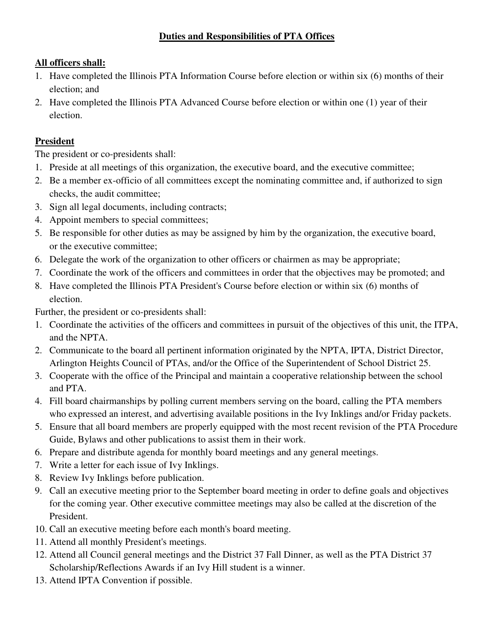# **Duties and Responsibilities of PTA Offices**

# **All officers shall:**

- 1. Have completed the Illinois PTA Information Course before election or within six (6) months of their election; and
- 2. Have completed the Illinois PTA Advanced Course before election or within one (1) year of their election.

# **President**

The president or co-presidents shall:

- 1. Preside at all meetings of this organization, the executive board, and the executive committee;
- 2. Be a member ex-officio of all committees except the nominating committee and, if authorized to sign checks, the audit committee;
- 3. Sign all legal documents, including contracts;
- 4. Appoint members to special committees;
- 5. Be responsible for other duties as may be assigned by him by the organization, the executive board, or the executive committee;
- 6. Delegate the work of the organization to other officers or chairmen as may be appropriate;
- 7. Coordinate the work of the officers and committees in order that the objectives may be promoted; and
- 8. Have completed the Illinois PTA President's Course before election or within six (6) months of election.

Further, the president or co-presidents shall:

- 1. Coordinate the activities of the officers and committees in pursuit of the objectives of this unit, the ITPA, and the NPTA.
- 2. Communicate to the board all pertinent information originated by the NPTA, IPTA, District Director, Arlington Heights Council of PTAs, and/or the Office of the Superintendent of School District 25.
- 3. Cooperate with the office of the Principal and maintain a cooperative relationship between the school and PTA.
- 4. Fill board chairmanships by polling current members serving on the board, calling the PTA members who expressed an interest, and advertising available positions in the Ivy Inklings and/or Friday packets.
- 5. Ensure that all board members are properly equipped with the most recent revision of the PTA Procedure Guide, Bylaws and other publications to assist them in their work.
- 6. Prepare and distribute agenda for monthly board meetings and any general meetings.
- 7. Write a letter for each issue of Ivy Inklings.
- 8. Review Ivy Inklings before publication.
- 9. Call an executive meeting prior to the September board meeting in order to define goals and objectives for the coming year. Other executive committee meetings may also be called at the discretion of the President.
- 10. Call an executive meeting before each month's board meeting.
- 11. Attend all monthly President's meetings.
- 12. Attend all Council general meetings and the District 37 Fall Dinner, as well as the PTA District 37 Scholarship/Reflections Awards if an Ivy Hill student is a winner.
- 13. Attend IPTA Convention if possible.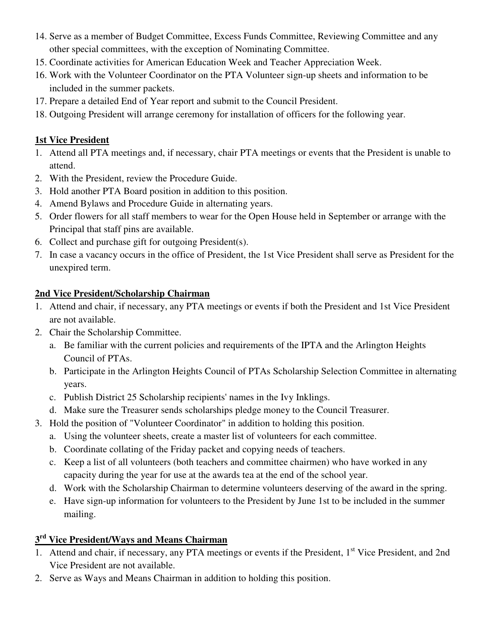- 14. Serve as a member of Budget Committee, Excess Funds Committee, Reviewing Committee and any other special committees, with the exception of Nominating Committee.
- 15. Coordinate activities for American Education Week and Teacher Appreciation Week.
- 16. Work with the Volunteer Coordinator on the PTA Volunteer sign-up sheets and information to be included in the summer packets.
- 17. Prepare a detailed End of Year report and submit to the Council President.
- 18. Outgoing President will arrange ceremony for installation of officers for the following year.

#### **1st Vice President**

- 1. Attend all PTA meetings and, if necessary, chair PTA meetings or events that the President is unable to attend.
- 2. With the President, review the Procedure Guide.
- 3. Hold another PTA Board position in addition to this position.
- 4. Amend Bylaws and Procedure Guide in alternating years.
- 5. Order flowers for all staff members to wear for the Open House held in September or arrange with the Principal that staff pins are available.
- 6. Collect and purchase gift for outgoing President(s).
- 7. In case a vacancy occurs in the office of President, the 1st Vice President shall serve as President for the unexpired term.

#### **2nd Vice President/Scholarship Chairman**

- 1. Attend and chair, if necessary, any PTA meetings or events if both the President and 1st Vice President are not available.
- 2. Chair the Scholarship Committee.
	- a. Be familiar with the current policies and requirements of the IPTA and the Arlington Heights Council of PTAs.
	- b. Participate in the Arlington Heights Council of PTAs Scholarship Selection Committee in alternating years.
	- c. Publish District 25 Scholarship recipients' names in the Ivy Inklings.
	- d. Make sure the Treasurer sends scholarships pledge money to the Council Treasurer.
- 3. Hold the position of "Volunteer Coordinator" in addition to holding this position.
	- a. Using the volunteer sheets, create a master list of volunteers for each committee.
	- b. Coordinate collating of the Friday packet and copying needs of teachers.
	- c. Keep a list of all volunteers (both teachers and committee chairmen) who have worked in any capacity during the year for use at the awards tea at the end of the school year.
	- d. Work with the Scholarship Chairman to determine volunteers deserving of the award in the spring.
	- e. Have sign-up information for volunteers to the President by June 1st to be included in the summer mailing.

# **3rd Vice President/Ways and Means Chairman**

- 1. Attend and chair, if necessary, any PTA meetings or events if the President, 1<sup>st</sup> Vice President, and 2nd Vice President are not available.
- 2. Serve as Ways and Means Chairman in addition to holding this position.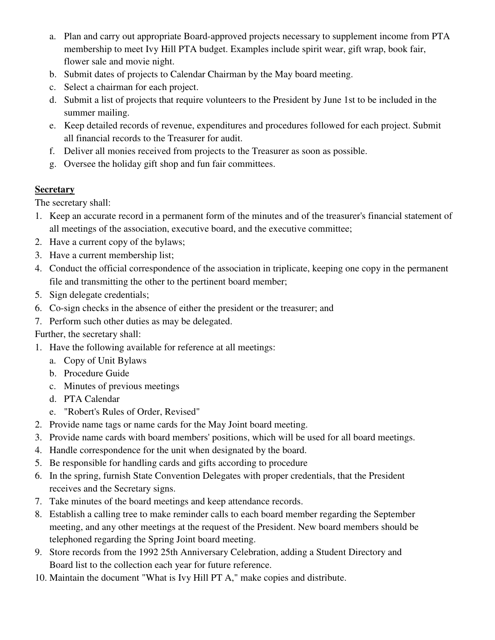- a. Plan and carry out appropriate Board-approved projects necessary to supplement income from PTA membership to meet Ivy Hill PTA budget. Examples include spirit wear, gift wrap, book fair, flower sale and movie night.
- b. Submit dates of projects to Calendar Chairman by the May board meeting.
- c. Select a chairman for each project.
- d. Submit a list of projects that require volunteers to the President by June 1st to be included in the summer mailing.
- e. Keep detailed records of revenue, expenditures and procedures followed for each project. Submit all financial records to the Treasurer for audit.
- f. Deliver all monies received from projects to the Treasurer as soon as possible.
- g. Oversee the holiday gift shop and fun fair committees.

# **Secretary**

The secretary shall:

- 1. Keep an accurate record in a permanent form of the minutes and of the treasurer's financial statement of all meetings of the association, executive board, and the executive committee;
- 2. Have a current copy of the bylaws;
- 3. Have a current membership list;
- 4. Conduct the official correspondence of the association in triplicate, keeping one copy in the permanent file and transmitting the other to the pertinent board member;
- 5. Sign delegate credentials;
- 6. Co-sign checks in the absence of either the president or the treasurer; and
- 7. Perform such other duties as may be delegated.

# Further, the secretary shall:

- 1. Have the following available for reference at all meetings:
	- a. Copy of Unit Bylaws
	- b. Procedure Guide
	- c. Minutes of previous meetings
	- d. PTA Calendar
	- e. "Robert's Rules of Order, Revised"
- 2. Provide name tags or name cards for the May Joint board meeting.
- 3. Provide name cards with board members' positions, which will be used for all board meetings.
- 4. Handle correspondence for the unit when designated by the board.
- 5. Be responsible for handling cards and gifts according to procedure
- 6. In the spring, furnish State Convention Delegates with proper credentials, that the President receives and the Secretary signs.
- 7. Take minutes of the board meetings and keep attendance records.
- 8. Establish a calling tree to make reminder calls to each board member regarding the September meeting, and any other meetings at the request of the President. New board members should be telephoned regarding the Spring Joint board meeting.
- 9. Store records from the 1992 25th Anniversary Celebration, adding a Student Directory and Board list to the collection each year for future reference.
- 10. Maintain the document "What is Ivy Hill PT A," make copies and distribute.